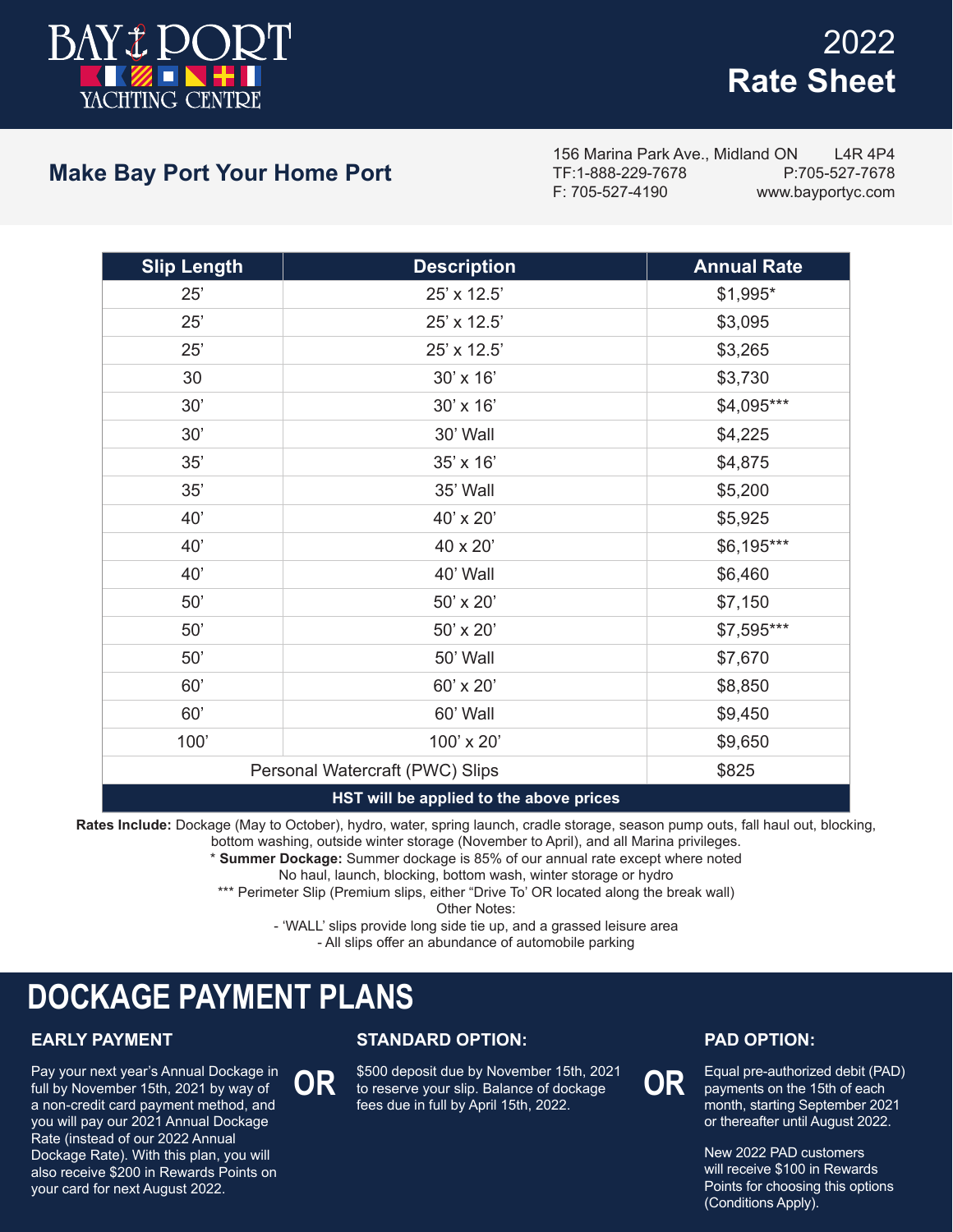

# 2022 **Rate Sheet**

## **Make Bay Port Your Home Port**

156 Marina Park Ave., Midland ON L4R 4P4 TF:1-888-229-7678 P:705-527-7678 www.bayportyc.com

| <b>Slip Length</b> | <b>Description</b>                      | <b>Annual Rate</b> |
|--------------------|-----------------------------------------|--------------------|
| 25'                | 25' x 12.5'                             | \$1,995*           |
| 25'                | 25' x 12.5'                             | \$3,095            |
| 25'                | 25' x 12.5'                             | \$3,265            |
| 30                 | 30' x 16'                               | \$3,730            |
| 30'                | 30' x 16'                               | \$4,095***         |
| 30'                | 30' Wall                                | \$4,225            |
| 35'                | 35' x 16'                               | \$4,875            |
| 35'                | 35' Wall                                | \$5,200            |
| 40'                | 40' x 20'                               | \$5,925            |
| 40'                | 40 x 20'                                | \$6,195***         |
| 40'                | 40' Wall                                | \$6,460            |
| 50'                | 50' x 20'                               | \$7,150            |
| 50'                | 50' x 20'                               | \$7,595***         |
| 50'                | 50' Wall                                | \$7,670            |
| 60'                | 60' x 20'                               | \$8,850            |
| 60'                | 60' Wall                                | \$9,450            |
| 100'               | 100' x 20'                              | \$9,650            |
|                    | Personal Watercraft (PWC) Slips         | \$825              |
|                    | HST will he annlied to the above prices |                    |

#### **HST will be applied to the above prices**

**Rates Include:** Dockage (May to October), hydro, water, spring launch, cradle storage, season pump outs, fall haul out, blocking,

bottom washing, outside winter storage (November to April), and all Marina privileges.

\* **Summer Dockage:** Summer dockage is 85% of our annual rate except where noted

No haul, launch, blocking, bottom wash, winter storage or hydro

\*\*\* Perimeter Slip (Premium slips, either "Drive To' OR located along the break wall)

Other Notes:

- 'WALL' slips provide long side tie up, and a grassed leisure area

- All slips offer an abundance of automobile parking

# **DOCKAGE PAYMENT PLANS**

### **EARLY PAYMENT**

Pay your next year's Annual Dockage in full by November 15th, 2021 by way of a non-credit card payment method, and you will pay our 2021 Annual Dockage Rate (instead of our 2022 Annual Dockage Rate). With this plan, you will also receive \$200 in Rewards Points on your card for next August 2022.

### **STANDARD OPTION:**

OR **to reserve your slip. Balance of dockage** OR \$500 deposit due by November 15th, 2021 fees due in full by April 15th, 2022.

#### **PAD OPTION:**

Equal pre-authorized debit (PAD) payments on the 15th of each month, starting September 2021 or thereafter until August 2022.

New 2022 PAD customers will receive \$100 in Rewards Points for choosing this options (Conditions Apply).